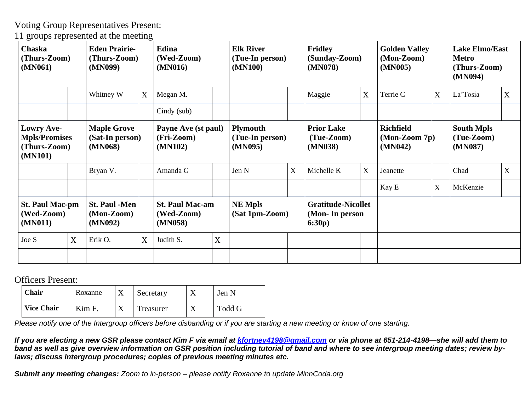Voting Group Representatives Present:

11 groups represented at the meeting

| <b>Chaska</b><br>(Thurs-Zoom)<br>(MN061)                             |   | <b>Eden Prairie-</b><br>(Thurs-Zoom)<br>(MN099)  |   | Edina<br>(Wed-Zoom)<br>(MN016)                  | <b>Elk River</b><br>(Tue-In person)<br>(MN100)                       |                                  | <b>Fridley</b><br>(Sunday-Zoom)<br>(MN078) |                                                        | <b>Golden Valley</b><br>(Mon-Zoom)<br>(MN005) |                                                | <b>Lake Elmo/East</b><br><b>Metro</b><br>(Thurs-Zoom)<br>(MN094) |                                            |   |
|----------------------------------------------------------------------|---|--------------------------------------------------|---|-------------------------------------------------|----------------------------------------------------------------------|----------------------------------|--------------------------------------------|--------------------------------------------------------|-----------------------------------------------|------------------------------------------------|------------------------------------------------------------------|--------------------------------------------|---|
|                                                                      |   | Whitney W                                        | X | Megan M.                                        |                                                                      |                                  |                                            | Maggie                                                 | X                                             | Terrie C                                       | X                                                                | La'Tosia                                   | X |
|                                                                      |   |                                                  |   | $Cindy$ (sub)                                   |                                                                      |                                  |                                            |                                                        |                                               |                                                |                                                                  |                                            |   |
| <b>Lowry Ave-</b><br><b>Mpls/Promises</b><br>(Thurs-Zoom)<br>(MN101) |   | <b>Maple Grove</b><br>(Sat-In person)<br>(MN068) |   | (Fri-Zoom)<br>(MN102)                           | Payne Ave (st paul)<br><b>Plymouth</b><br>(Tue-In person)<br>(MN095) |                                  |                                            | <b>Prior Lake</b><br>$(Tue-Zoom)$<br>(MN038)           |                                               | <b>Richfield</b><br>$(Mon-Zoom 7p)$<br>(MN042) |                                                                  | <b>South Mpls</b><br>(Tue-Zoom)<br>(MN087) |   |
|                                                                      |   | Bryan V.                                         |   | Amanda G                                        |                                                                      | Jen N                            | X                                          | Michelle K                                             | X                                             | Jeanette                                       |                                                                  | Chad                                       | X |
|                                                                      |   |                                                  |   |                                                 |                                                                      |                                  |                                            |                                                        |                                               | Kay E                                          | X                                                                | McKenzie                                   |   |
| <b>St. Paul Mac-pm</b><br>(Wed-Zoom)<br>(MN011)                      |   | <b>St. Paul -Men</b><br>$(Mon-Zoom)$<br>(MN092)  |   | <b>St. Paul Mac-am</b><br>(Wed-Zoom)<br>(MN058) |                                                                      | <b>NE Mpls</b><br>(Sat 1pm-Zoom) |                                            | <b>Gratitude-Nicollet</b><br>(Mon- In person<br>6:30p) |                                               |                                                |                                                                  |                                            |   |
| Joe S                                                                | X | Erik O.                                          | X | Judith S.                                       | X                                                                    |                                  |                                            |                                                        |                                               |                                                |                                                                  |                                            |   |
|                                                                      |   |                                                  |   |                                                 |                                                                      |                                  |                                            |                                                        |                                               |                                                |                                                                  |                                            |   |

Officers Present:

| Chair             | Roxanne |  | Secretary | Jen N  |
|-------------------|---------|--|-----------|--------|
| <b>Vice Chair</b> | Kim F.  |  | Treasurer | Todd G |

Please notify one of the Intergroup officers before disbanding or if you are starting a new meeting or know of one starting.

If you are electing a new GSR please contact Kim F via email at [kfortney4198@gmail.com](mailto:kfortney4198@gmail.com) or via phone at 651-214-4198-she will add them to band as well as give overview information on GSR position including tutorial of band and where to see intergroup meeting dates; review by*laws; discuss intergroup procedures; copies of previous meeting minutes etc.*

*Submit any meeting changes: Zoom to in-person – please notify Roxanne to update MinnCoda.org*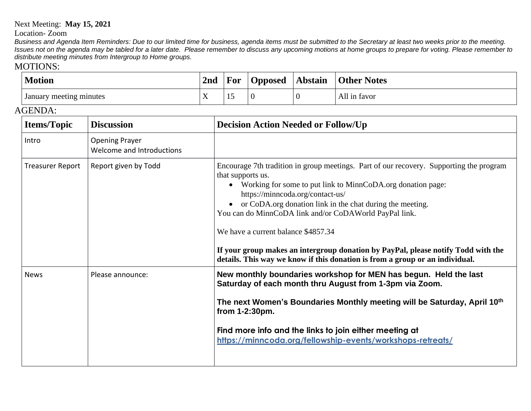## Next Meeting: **May 15, 2021**

Location- Zoom

Business and Agenda Item Reminders: Due to our limited time for business, agenda items must be submitted to the Secretary at least two weeks prior to the meeting. Issues not on the agenda may be tabled for a later date. Please remember to discuss any upcoming motions at home groups to prepare for voting. Please remember to *distribute meeting minutes from Intergroup to Home groups.*

## MOTIONS:

| <b>Motion</b>                                               |  | 2nd | For                                                                                                                                                                                                                                                                                                                                                                                                                                                                                                                                                             | <b>Opposed</b> | <b>Abstain</b> | <b>Other Notes</b> |  |  |
|-------------------------------------------------------------|--|-----|-----------------------------------------------------------------------------------------------------------------------------------------------------------------------------------------------------------------------------------------------------------------------------------------------------------------------------------------------------------------------------------------------------------------------------------------------------------------------------------------------------------------------------------------------------------------|----------------|----------------|--------------------|--|--|
| January meeting minutes<br>X                                |  |     | 15                                                                                                                                                                                                                                                                                                                                                                                                                                                                                                                                                              | $\theta$       | $\mathbf{0}$   | All in favor       |  |  |
| AGENDA:                                                     |  |     |                                                                                                                                                                                                                                                                                                                                                                                                                                                                                                                                                                 |                |                |                    |  |  |
| <b>Items/Topic</b><br><b>Discussion</b>                     |  |     | <b>Decision Action Needed or Follow/Up</b>                                                                                                                                                                                                                                                                                                                                                                                                                                                                                                                      |                |                |                    |  |  |
| <b>Opening Prayer</b><br>Intro<br>Welcome and Introductions |  |     |                                                                                                                                                                                                                                                                                                                                                                                                                                                                                                                                                                 |                |                |                    |  |  |
| <b>Treasurer Report</b><br>Report given by Todd             |  |     | Encourage 7th tradition in group meetings. Part of our recovery. Supporting the program<br>that supports us.<br>Working for some to put link to MinnCoDA.org donation page:<br>$\bullet$<br>https://minncoda.org/contact-us/<br>or CoDA.org donation link in the chat during the meeting.<br>You can do MinnCoDA link and/or CoDAWorld PayPal link.<br>We have a current balance \$4857.34<br>If your group makes an intergroup donation by PayPal, please notify Todd with the<br>details. This way we know if this donation is from a group or an individual. |                |                |                    |  |  |
| <b>News</b><br>Please announce:                             |  |     | New monthly boundaries workshop for MEN has begun. Held the last<br>Saturday of each month thru August from 1-3pm via Zoom.<br>The next Women's Boundaries Monthly meeting will be Saturday, April 10th<br>from 1-2:30pm.<br>Find more info and the links to join either meeting at<br>https://minncoda.org/fellowship-events/workshops-retreats/                                                                                                                                                                                                               |                |                |                    |  |  |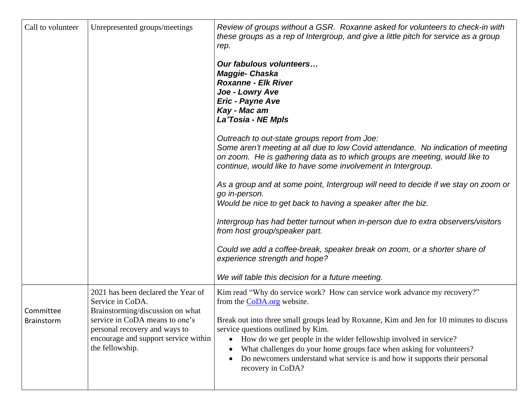| Call to volunteer | Unrepresented groups/meetings                                                                                              | Review of groups without a GSR. Roxanne asked for volunteers to check-in with<br>these groups as a rep of Intergroup, and give a little pitch for service as a group<br>rep.                                                                                                                                                                                                                     |
|-------------------|----------------------------------------------------------------------------------------------------------------------------|--------------------------------------------------------------------------------------------------------------------------------------------------------------------------------------------------------------------------------------------------------------------------------------------------------------------------------------------------------------------------------------------------|
|                   |                                                                                                                            | Our fabulous volunteers<br>Maggie- Chaska<br><b>Roxanne - Elk River</b><br>Joe - Lowry Ave<br>Eric - Payne Ave<br>Kay - Mac am<br>La'Tosia - NE Mpls                                                                                                                                                                                                                                             |
|                   |                                                                                                                            | Outreach to out-state groups report from Joe:<br>Some aren't meeting at all due to low Covid attendance. No indication of meeting<br>on zoom. He is gathering data as to which groups are meeting, would like to<br>continue, would like to have some involvement in Intergroup.                                                                                                                 |
|                   |                                                                                                                            | As a group and at some point, Intergroup will need to decide if we stay on zoom or<br>go in-person.<br>Would be nice to get back to having a speaker after the biz.                                                                                                                                                                                                                              |
|                   |                                                                                                                            | Intergroup has had better turnout when in-person due to extra observers/visitors<br>from host group/speaker part.                                                                                                                                                                                                                                                                                |
|                   |                                                                                                                            | Could we add a coffee-break, speaker break on zoom, or a shorter share of<br>experience strength and hope?                                                                                                                                                                                                                                                                                       |
|                   |                                                                                                                            | We will table this decision for a future meeting.                                                                                                                                                                                                                                                                                                                                                |
| Committee         | 2021 has been declared the Year of<br>Service in CoDA.<br>Brainstorming/discussion on what                                 | Kim read "Why do service work? How can service work advance my recovery?"<br>from the CoDA.org website.                                                                                                                                                                                                                                                                                          |
| Brainstorm        | service in CoDA means to one's<br>personal recovery and ways to<br>encourage and support service within<br>the fellowship. | Break out into three small groups lead by Roxanne, Kim and Jen for 10 minutes to discuss<br>service questions outlined by Kim.<br>How do we get people in the wider fellowship involved in service?<br>$\bullet$<br>What challenges do your home groups face when asking for volunteers?<br>٠<br>Do newcomers understand what service is and how it supports their personal<br>recovery in CoDA? |